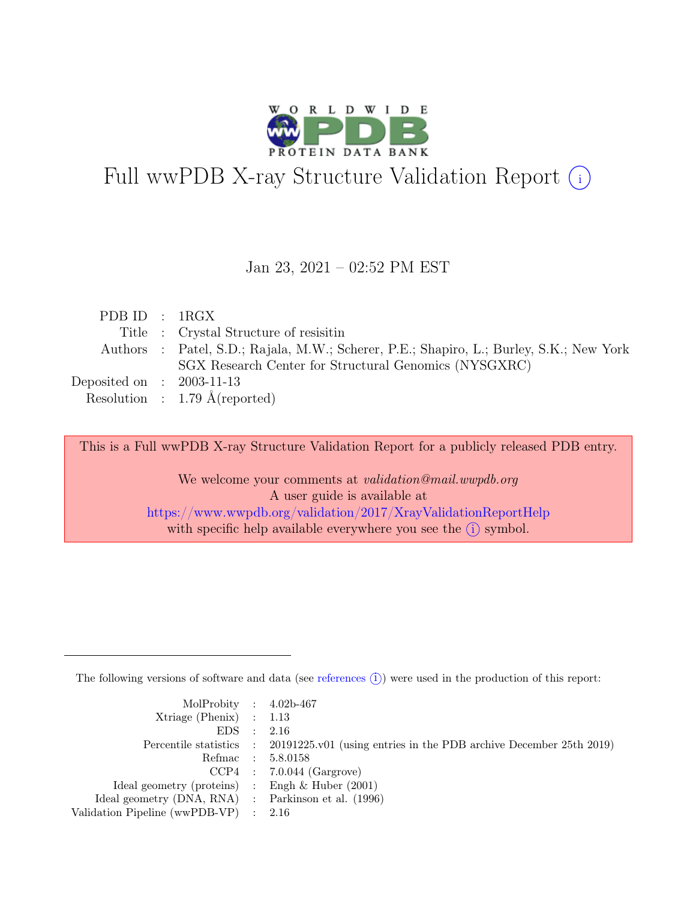

# Full wwPDB X-ray Structure Validation Report  $(i)$

#### Jan 23, 2021 – 02:52 PM EST

| PDBID : 1RGX                |                                                                                         |
|-----------------------------|-----------------------------------------------------------------------------------------|
|                             | Title : Crystal Structure of resisitin                                                  |
|                             | Authors : Patel, S.D.; Rajala, M.W.; Scherer, P.E.; Shapiro, L.; Burley, S.K.; New York |
|                             | SGX Research Center for Structural Genomics (NYSGXRC)                                   |
| Deposited on : $2003-11-13$ |                                                                                         |
|                             | Resolution : 1.79 $\AA$ (reported)                                                      |

This is a Full wwPDB X-ray Structure Validation Report for a publicly released PDB entry.

We welcome your comments at *validation@mail.wwpdb.org* A user guide is available at <https://www.wwpdb.org/validation/2017/XrayValidationReportHelp> with specific help available everywhere you see the  $(i)$  symbol.

The following versions of software and data (see [references](https://www.wwpdb.org/validation/2017/XrayValidationReportHelp#references)  $(i)$ ) were used in the production of this report:

| MolProbity : $4.02b-467$                            |                                                                                            |
|-----------------------------------------------------|--------------------------------------------------------------------------------------------|
| $Xtriangle (Phenix)$ : 1.13                         |                                                                                            |
| EDS : 2.16                                          |                                                                                            |
|                                                     | Percentile statistics : 20191225.v01 (using entries in the PDB archive December 25th 2019) |
|                                                     | Refmac : 5.8.0158                                                                          |
|                                                     | $CCP4$ : 7.0.044 (Gargrove)                                                                |
| Ideal geometry (proteins) : Engh $\&$ Huber (2001)  |                                                                                            |
| Ideal geometry (DNA, RNA) : Parkinson et al. (1996) |                                                                                            |
| Validation Pipeline (wwPDB-VP) : 2.16               |                                                                                            |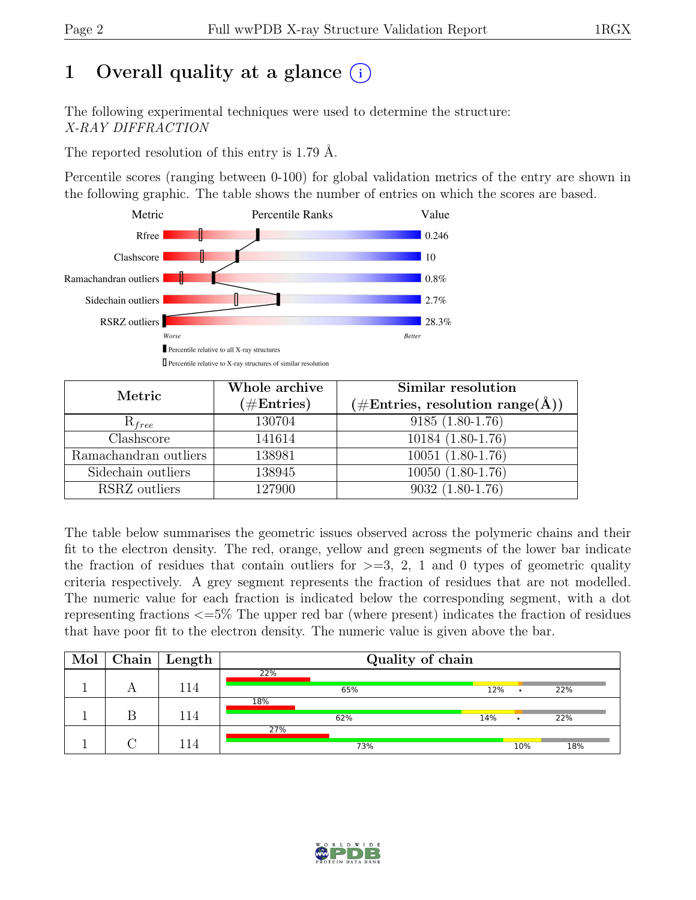# 1 Overall quality at a glance  $(i)$

The following experimental techniques were used to determine the structure: X-RAY DIFFRACTION

The reported resolution of this entry is 1.79 Å.

Percentile scores (ranging between 0-100) for global validation metrics of the entry are shown in the following graphic. The table shows the number of entries on which the scores are based.



| Metric                | Whole archive | Similar resolution                                           |
|-----------------------|---------------|--------------------------------------------------------------|
|                       | $(\#Entries)$ | $(\# \text{Entries}, \text{ resolution } \text{range}(\AA))$ |
| $R_{free}$            | 130704        | $9185(1.80-1.76)$                                            |
| Clashscore            | 141614        | 10184 (1.80-1.76)                                            |
| Ramachandran outliers | 138981        | $10051(1.80-1.76)$                                           |
| Sidechain outliers    | 138945        | 10050 (1.80-1.76)                                            |
| RSRZ outliers         | 127900        | $9032(1.80-1.76)$                                            |

The table below summarises the geometric issues observed across the polymeric chains and their fit to the electron density. The red, orange, yellow and green segments of the lower bar indicate the fraction of residues that contain outliers for  $\geq$ =3, 2, 1 and 0 types of geometric quality criteria respectively. A grey segment represents the fraction of residues that are not modelled. The numeric value for each fraction is indicated below the corresponding segment, with a dot representing fractions <=5% The upper red bar (where present) indicates the fraction of residues that have poor fit to the electron density. The numeric value is given above the bar.

| Mol | Chain | Length | Quality of chain |     |     |     |  |  |  |
|-----|-------|--------|------------------|-----|-----|-----|--|--|--|
|     |       |        | 22%              |     |     |     |  |  |  |
|     |       | 114    | 65%              | 12% | ٠   | 22% |  |  |  |
|     |       |        | 18%              |     |     |     |  |  |  |
|     |       | 114    | 62%              | 14% |     | 22% |  |  |  |
|     |       |        | 27%              |     |     |     |  |  |  |
|     |       | 114    | 73%              |     | 10% | 18% |  |  |  |

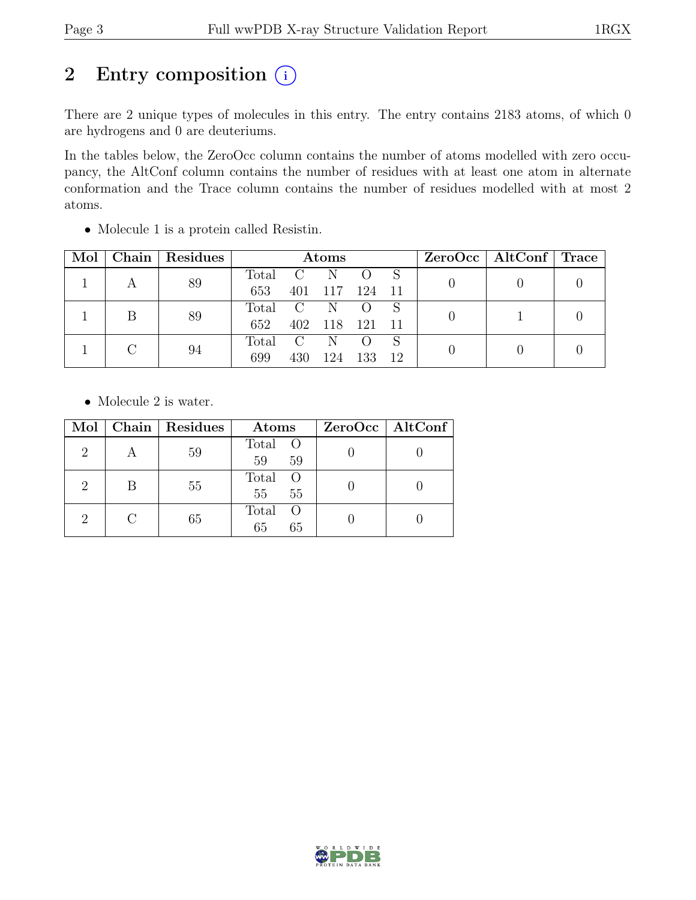# 2 Entry composition  $(i)$

There are 2 unique types of molecules in this entry. The entry contains 2183 atoms, of which 0 are hydrogens and 0 are deuteriums.

In the tables below, the ZeroOcc column contains the number of atoms modelled with zero occupancy, the AltConf column contains the number of residues with at least one atom in alternate conformation and the Trace column contains the number of residues modelled with at most 2 atoms.

| Mol |    | Chain   Residues | $\rm{Atoms}$ |     |             |                |  |  | $ZeroOcc \mid AltConf \mid Trace$ |  |
|-----|----|------------------|--------------|-----|-------------|----------------|--|--|-----------------------------------|--|
|     |    | 89               | Total C N    |     |             |                |  |  |                                   |  |
|     |    |                  | 653          |     |             | 401 117 124 11 |  |  |                                   |  |
|     |    | 89               | Total C N    |     |             |                |  |  |                                   |  |
|     |    |                  | 652          |     | 402 118 121 |                |  |  |                                   |  |
|     |    |                  | Total C N    |     |             |                |  |  |                                   |  |
|     | 94 | 699              | 430          | 124 | 133         | -12            |  |  |                                   |  |

• Molecule 1 is a protein called Resistin.

• Molecule 2 is water.

| Mol                         | Chain $ $                   | Residues | Atoms                               | $ZeroOcc \   \$ AltConf |
|-----------------------------|-----------------------------|----------|-------------------------------------|-------------------------|
| 2                           | А                           | 59       | Total O<br>59<br>59                 |                         |
| $\mathcal{D}_{\mathcal{L}}$ | В                           | 55       | Total<br>$\overline{O}$<br>55<br>55 |                         |
| 2                           | $\mathcal{C}_{\mathcal{C}}$ | 65       | Total<br>- ( )<br>65<br>65          |                         |

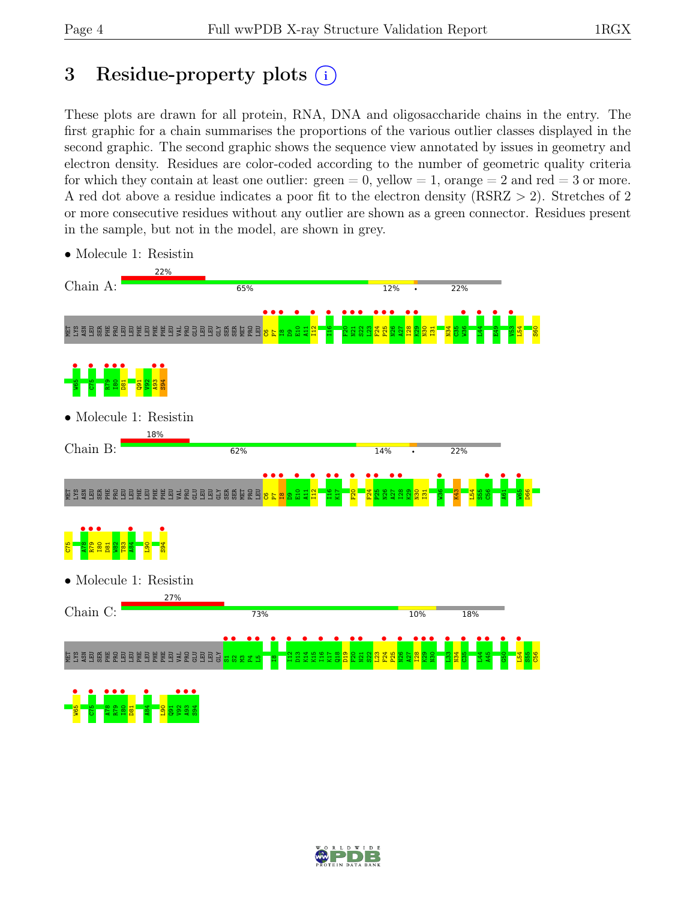## 3 Residue-property plots  $(i)$

These plots are drawn for all protein, RNA, DNA and oligosaccharide chains in the entry. The first graphic for a chain summarises the proportions of the various outlier classes displayed in the second graphic. The second graphic shows the sequence view annotated by issues in geometry and electron density. Residues are color-coded according to the number of geometric quality criteria for which they contain at least one outlier:  $green = 0$ , yellow  $= 1$ , orange  $= 2$  and red  $= 3$  or more. A red dot above a residue indicates a poor fit to the electron density (RSRZ > 2). Stretches of 2 or more consecutive residues without any outlier are shown as a green connector. Residues present in the sample, but not in the model, are shown in grey.



• Molecule 1: Resistin

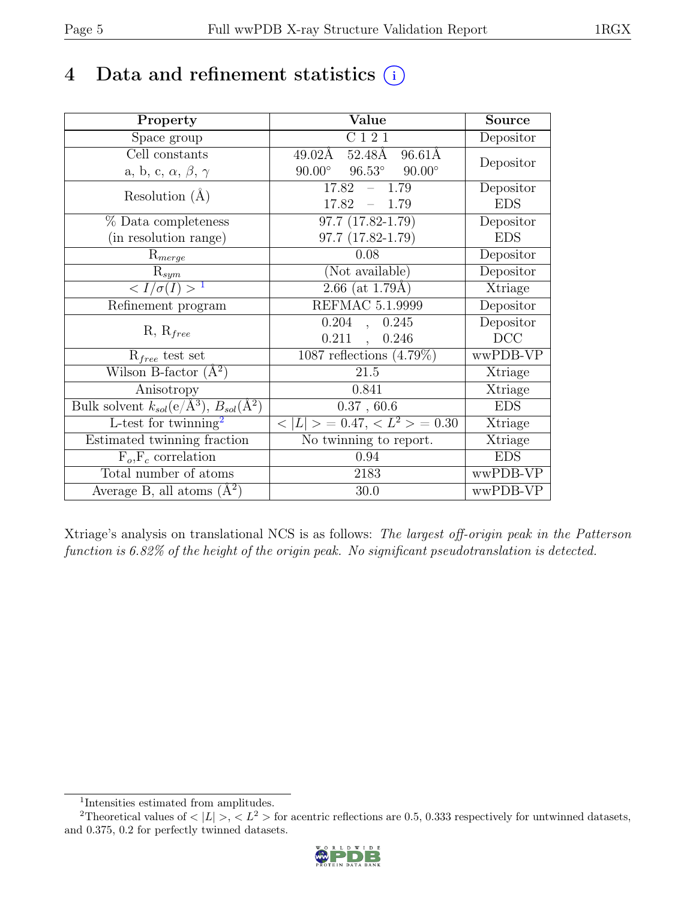### 4 Data and refinement statistics  $(i)$

| Property                                                             | Value                                             | <b>Source</b>  |
|----------------------------------------------------------------------|---------------------------------------------------|----------------|
| Space group                                                          | C121                                              | Depositor      |
| $\overline{Cell}$ constants                                          | 52.48Å<br>$96.61\text{\AA}$<br>49.02Å             |                |
| a, b, c, $\alpha$ , $\beta$ , $\gamma$                               | $96.53^\circ$<br>$90.00^\circ$<br>$90.00^{\circ}$ | Depositor      |
| Resolution $(A)$                                                     | 17.82<br>$-1.79$                                  | Depositor      |
|                                                                      | 17.82<br>$-1.79$                                  | <b>EDS</b>     |
| % Data completeness                                                  | 97.7 (17.82-1.79)                                 | Depositor      |
| (in resolution range)                                                | 97.7 (17.82-1.79)                                 | <b>EDS</b>     |
| $R_{merge}$                                                          | 0.08                                              | Depositor      |
| $\mathrm{R}_{sym}$                                                   | (Not available)                                   | Depositor      |
| $\langle I/\sigma(I) \rangle$ <sup>1</sup>                           | $2.66$ (at 1.79Å)                                 | Xtriage        |
| Refinement program                                                   | <b>REFMAC 5.1.9999</b>                            | Depositor      |
|                                                                      | 0.204<br>0.245<br>$\ddot{\phantom{a}}$            | Depositor      |
| $R, R_{free}$                                                        | $0.211$ ,<br>0.246                                | DCC            |
| $R_{free}$ test set                                                  | 1087 reflections $(4.79\%)$                       | wwPDB-VP       |
| Wilson B-factor $(A^2)$                                              | 21.5                                              | Xtriage        |
| Anisotropy                                                           | 0.841                                             | Xtriage        |
| Bulk solvent $k_{sol}(e/\mathring{A}^3)$ , $B_{sol}(\mathring{A}^2)$ | 0.37, 60.6                                        | <b>EDS</b>     |
| L-test for $\mathrm{twinning}^2$                                     | $< L >$ = 0.47, $< L^2 >$ = 0.30                  | <b>Xtriage</b> |
| Estimated twinning fraction                                          | No twinning to report.                            | Xtriage        |
| $\overline{F_o,F_c}$ correlation                                     | 0.94                                              | <b>EDS</b>     |
| Total number of atoms                                                | 2183                                              | wwPDB-VP       |
| Average B, all atoms $(A^2)$                                         | 30.0                                              | wwPDB-VP       |

Xtriage's analysis on translational NCS is as follows: The largest off-origin peak in the Patterson function is 6.82% of the height of the origin peak. No significant pseudotranslation is detected.

<sup>&</sup>lt;sup>2</sup>Theoretical values of  $\langle |L| \rangle$ ,  $\langle L^2 \rangle$  for acentric reflections are 0.5, 0.333 respectively for untwinned datasets, and 0.375, 0.2 for perfectly twinned datasets.



<span id="page-4-1"></span><span id="page-4-0"></span><sup>1</sup> Intensities estimated from amplitudes.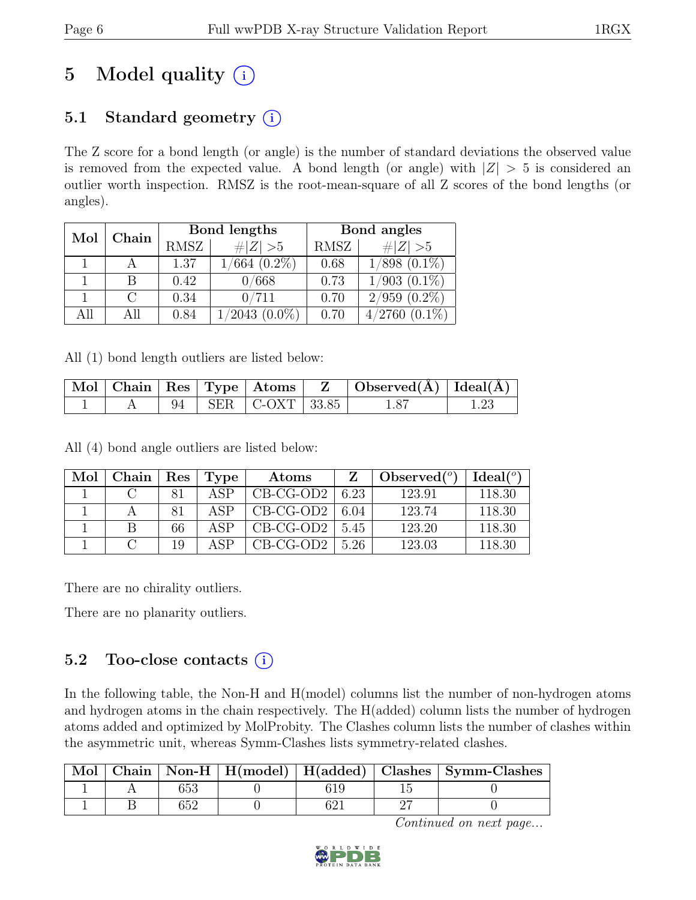# 5 Model quality  $(i)$

### 5.1 Standard geometry  $(i)$

The Z score for a bond length (or angle) is the number of standard deviations the observed value is removed from the expected value. A bond length (or angle) with  $|Z| > 5$  is considered an outlier worth inspection. RMSZ is the root-mean-square of all Z scores of the bond lengths (or angles).

| Mol<br>Chain |      | Bond lengths      | Bond angles |                     |  |
|--------------|------|-------------------|-------------|---------------------|--|
|              | RMSZ | # $ Z >5$         | RMSZ        | # $ Z >5$           |  |
|              | 1.37 | $1/664$ $(0.2\%)$ | 0.68        | $1/898$ $(0.1\%)$   |  |
|              | 0.42 | 0/668             | 0.73        | $1/903$ $(0.1\%)$   |  |
|              | 0.34 | 0/711             | 0.70        | $2/959$ $(0.2\%)$   |  |
| A 11         | 0.84 | /2043<br>$0.0\%)$ | 0.70        | 4/2760<br>$(0.1\%)$ |  |

All (1) bond length outliers are listed below:

|  |  |                          | Mol   Chain   Res   Type   Atoms   Z   Observed(A)   Ideal(A) |  |
|--|--|--------------------------|---------------------------------------------------------------|--|
|  |  | 94   SER   C-OXT   33.85 |                                                               |  |

All (4) bond angle outliers are listed below:

| Mol | Chain | $\vert$ Res | Type | Atoms       |      | Observed $(°)$ | Ideal(°) |
|-----|-------|-------------|------|-------------|------|----------------|----------|
|     |       |             | ASP  | $CB-CG-OD2$ | 6.23 | 123.91         | 118.30   |
|     |       |             | ASP  | $CB-CG-OD2$ | 6.04 | 123.74         | 118.30   |
|     |       | 66          | ΔSΡ  | $CB-CG-OD2$ | 5.45 | 123.20         | 118.30   |
|     |       | 1 Q         | ΔSΡ  | $CB-CG-OD2$ | 5.26 | 123.03         | 118.30   |

There are no chirality outliers.

There are no planarity outliers.

#### 5.2 Too-close contacts  $(i)$

In the following table, the Non-H and H(model) columns list the number of non-hydrogen atoms and hydrogen atoms in the chain respectively. The H(added) column lists the number of hydrogen atoms added and optimized by MolProbity. The Clashes column lists the number of clashes within the asymmetric unit, whereas Symm-Clashes lists symmetry-related clashes.

|  |  |  | Mol   Chain   Non-H   $H$ (model)   $H$ (added)   Clashes   Symm-Clashes |
|--|--|--|--------------------------------------------------------------------------|
|  |  |  |                                                                          |
|  |  |  |                                                                          |

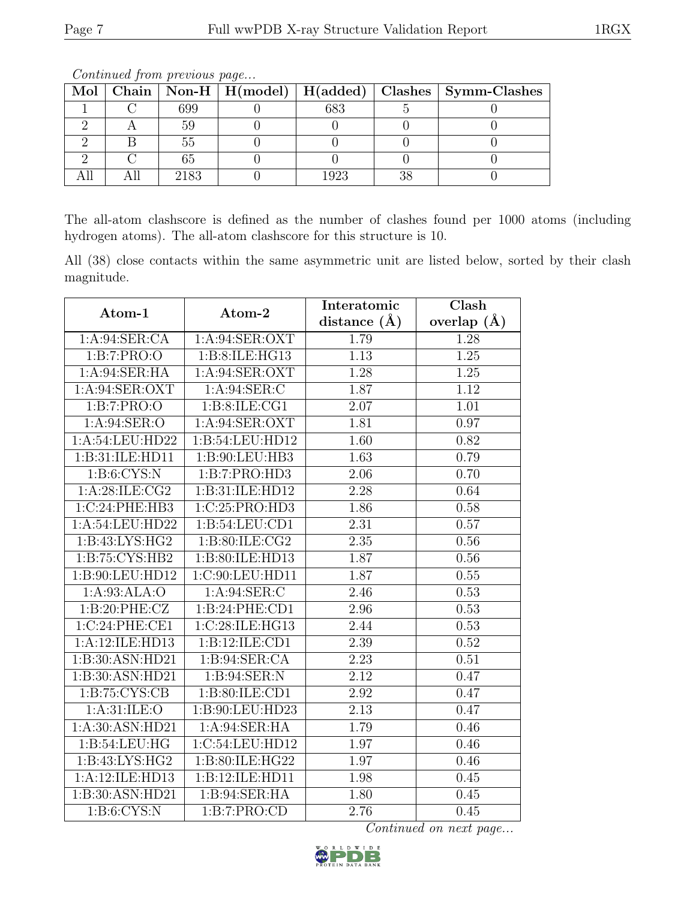| Mol |      |      |    | Chain   Non-H   H(model)   H(added)   Clashes   Symm-Clashes |
|-----|------|------|----|--------------------------------------------------------------|
|     | 699  | 683  |    |                                                              |
|     |      |      |    |                                                              |
|     | hh   |      |    |                                                              |
|     |      |      |    |                                                              |
|     | 2183 | 1923 | າເ |                                                              |

The all-atom clashscore is defined as the number of clashes found per 1000 atoms (including hydrogen atoms). The all-atom clashscore for this structure is 10.

All (38) close contacts within the same asymmetric unit are listed below, sorted by their clash magnitude.

| Atom-1             | Atom-2             | Interatomic       | Clash             |
|--------------------|--------------------|-------------------|-------------------|
|                    |                    | distance $(A)$    | overlap $(A)$     |
| 1: A:94: SER:CA    | 1: A:94: SER: OXT  | 1.79              | 1.28              |
| 1:B:7:PRO:O        | 1:B:8:ILE:HG13     | 1.13              | 1.25              |
| 1: A:94: SER: HA   | 1: A:94: SER: OXT  | 1.28              | 1.25              |
| 1: A:94: SER: OXT  | 1:A:94:SER:C       | 1.87              | 1.12              |
| 1:B:7:PRO:O        | 1: B:8: ILE:CG1    | $\overline{2.07}$ | $\overline{1.01}$ |
| 1: A:94: SER:O     | 1: A:94: SER: OXT  | 1.81              | 0.97              |
| 1:A:54:LEU:HD22    | 1:B:54:LEU:HD12    | 1.60              | 0.82              |
| 1:B:31:ILE:HD11    | 1: B: 90: LEU: HB3 | $\overline{1.63}$ | 0.79              |
| 1: B: 6: CYS: N    | 1:B:7:PRO:HD3      | 2.06              | 0.70              |
| 1: A:28: ILE: CG2  | 1:B:31:ILE:HD12    | $\overline{2.28}$ | 0.64              |
| 1:C:24:PHE:HB3     | 1:C:25:PRO:HD3     | 1.86              | 0.58              |
| 1:A:54:LEU:HD22    | 1: B:54: LEU:CD1   | $\overline{2.31}$ | 0.57              |
| 1: B: 43: LYS: HG2 | 1:B:80:ILE:CG2     | 2.35              | 0.56              |
| 1:B:75:CYS:HB2     | 1:B:80:ILE:HD13    | 1.87              | 0.56              |
| 1:B:90:LEU:HD12    | 1:C:90:LEU:HD11    | 1.87              | 0.55              |
| 1:A:93:ALA:O       | 1: A:94: SER: C    | 2.46              | 0.53              |
| 1:B:20:PHE:CZ      | 1:B:24:PHE:CD1     | 2.96              | 0.53              |
| 1:C:24:PHE:CE1     | 1:C:28:ILE:HG13    | 2.44              | 0.53              |
| 1:A:12:ILE:HD13    | 1:B:12:ILE:CD1     | 2.39              | 0.52              |
| 1:B:30:ASN:HD21    | 1: B:94: SER:CA    | 2.23              | 0.51              |
| 1:B:30:ASN:HD21    | 1: B:94: SER: N    | 2.12              | 0.47              |
| 1: B:75: CYS:CB    | 1:B:80:ILE:CD1     | 2.92              | 0.47              |
| 1: A:31: ILE: O    | 1:B:90:LEU:HD23    | 2.13              | 0.47              |
| 1:A:30:ASN:HD21    | 1: A:94: SER: HA   | 1.79              | 0.46              |
| 1:B:54:LEU:HG      | 1:C:54:LEU:HD12    | 1.97              | 0.46              |
| 1:B:43:LYS:HG2     | 1:B:80:ILE:HG22    | 1.97              | 0.46              |
| 1:A:12:ILE:HD13    | 1:B:12:ILE:HD11    | 1.98              | 0.45              |
| 1:B:30:ASN:HD21    | 1: B:94: SER: HA   | 1.80              | 0.45              |
| 1: B:6: CYS:N      | 1:B:7:PRO:CD       | 2.76              | 0.45              |

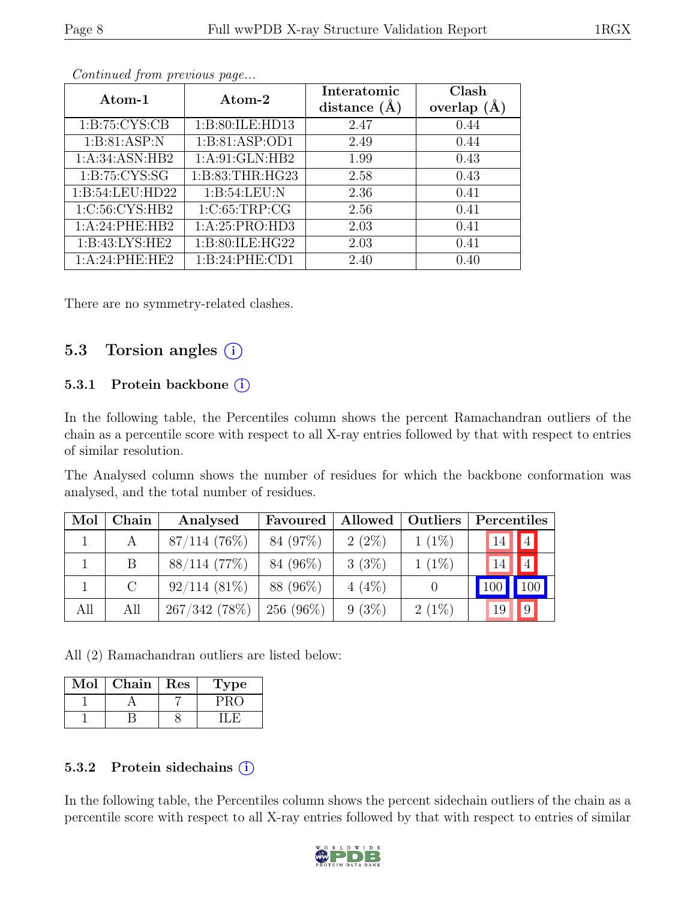| Atom-1            | Atom-2             | Interatomic    | Clash           |
|-------------------|--------------------|----------------|-----------------|
|                   |                    | distance $(A)$ | overlap $(\AA)$ |
| 1: B: 75: CYS: CB | 1:B:80:ILE:HD13    | 2.47           | 0.44            |
| 1: B:81: ASP: N   | 1:B:81:ASP:OD1     | 2.49           | 0.44            |
| 1:A:34:ASN:HB2    | 1:A:91:GLN:HB2     | 1.99           | 0.43            |
| 1: B:75: CYS:SG   | 1:B:83:THR:HG23    | 2.58           | 0.43            |
| 1:B:54:LEU:HD22   | 1: B:54:LEU: N     | 2.36           | 0.41            |
| 1:C:56:CYS:HB2    | 1:C:65:TRP:CG      | 2.56           | 0.41            |
| 1:A:24:PHE:HB2    | 1:A:25:PRO:HD3     | 2.03           | 0.41            |
| 1:B:43:LYS:HE2    | 1: B:80: ILE: HG22 | 2.03           | 0.41            |
| 1:A:24:PHE:HE2    | 1:B:24:PHE:CD1     | 2.40           | 0.40            |

There are no symmetry-related clashes.

#### 5.3 Torsion angles (i)

#### 5.3.1 Protein backbone (i)

In the following table, the Percentiles column shows the percent Ramachandran outliers of the chain as a percentile score with respect to all X-ray entries followed by that with respect to entries of similar resolution.

The Analysed column shows the number of residues for which the backbone conformation was analysed, and the total number of residues.

| Mol | Chain   | Analysed       | Favoured    |          | Allowed   Outliers | Percentiles |                 |
|-----|---------|----------------|-------------|----------|--------------------|-------------|-----------------|
|     | A       | $87/114$ (76%) | 84 (97%)    | $2(2\%)$ | $1(1\%)$           | 14          | 4               |
|     | B       | 88/114(77%)    | 84 (96%)    | 3(3%)    | $1(1\%)$           | 14          | $ 4\rangle$     |
|     | $\rm C$ | $92/114(81\%)$ | 88 (96%)    | $4(4\%)$ |                    |             | 100             |
| All | All     | 267/342(78%)   | $256(96\%)$ | $9(3\%)$ | $2(1\%)$           | 19          | $\vert 9 \vert$ |

All (2) Ramachandran outliers are listed below:

| Mol | Chain | Res | <b>Type</b> |
|-----|-------|-----|-------------|
|     |       |     |             |
|     |       |     |             |

#### 5.3.2 Protein sidechains (i)

In the following table, the Percentiles column shows the percent sidechain outliers of the chain as a percentile score with respect to all X-ray entries followed by that with respect to entries of similar

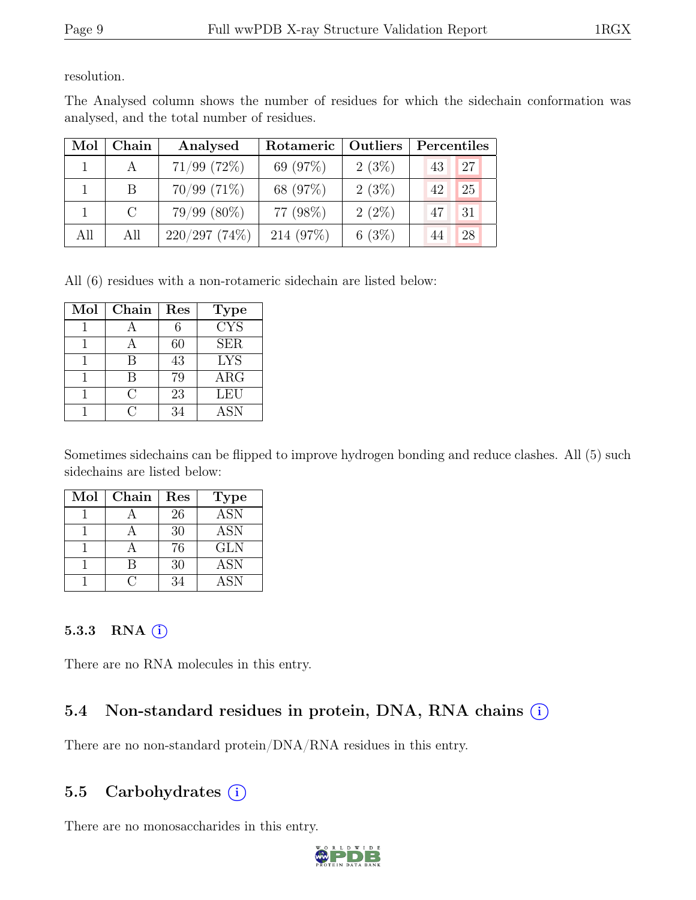resolution.

The Analysed column shows the number of residues for which the sidechain conformation was analysed, and the total number of residues.

| Mol | Chain   | Analysed         | Rotameric | Outliers | Percentiles |    |
|-----|---------|------------------|-----------|----------|-------------|----|
|     |         | $71/99$ (72\%)   | 69 (97%)  | 2(3%)    | 43          | 27 |
|     | В       | $70/99$ $(71\%)$ | 68 (97%)  | 2(3%)    | 42          | 25 |
|     | $\rm C$ | $79/99(80\%)$    | 77 (98%)  | $2(2\%)$ | 47          | 31 |
| All | All     | $220/297$ (74%)  | 214 (97%) | 6(3%)    |             | 28 |

All (6) residues with a non-rotameric sidechain are listed below:

| Mol | Chain | Res | <b>Type</b>             |
|-----|-------|-----|-------------------------|
|     |       |     | $\overline{\text{CYS}}$ |
|     |       | 60  | <b>SER</b>              |
|     | В     | 43  | <b>LYS</b>              |
|     |       | 79  | ARG                     |
|     | ( )   | 23  | LEU                     |
|     |       | 34  | <b>ASN</b>              |

Sometimes sidechains can be flipped to improve hydrogen bonding and reduce clashes. All (5) such sidechains are listed below:

| Mol | Chain | Res | <b>Type</b> |
|-----|-------|-----|-------------|
|     |       | 26  | <b>ASN</b>  |
|     |       | 30  | <b>ASN</b>  |
|     |       | 76  | <b>GLN</b>  |
|     |       | 30  | <b>ASN</b>  |
|     |       | 34  | ASN         |

#### 5.3.3 RNA  $(i)$

There are no RNA molecules in this entry.

### 5.4 Non-standard residues in protein, DNA, RNA chains  $(i)$

There are no non-standard protein/DNA/RNA residues in this entry.

#### 5.5 Carbohydrates  $(i)$

There are no monosaccharides in this entry.

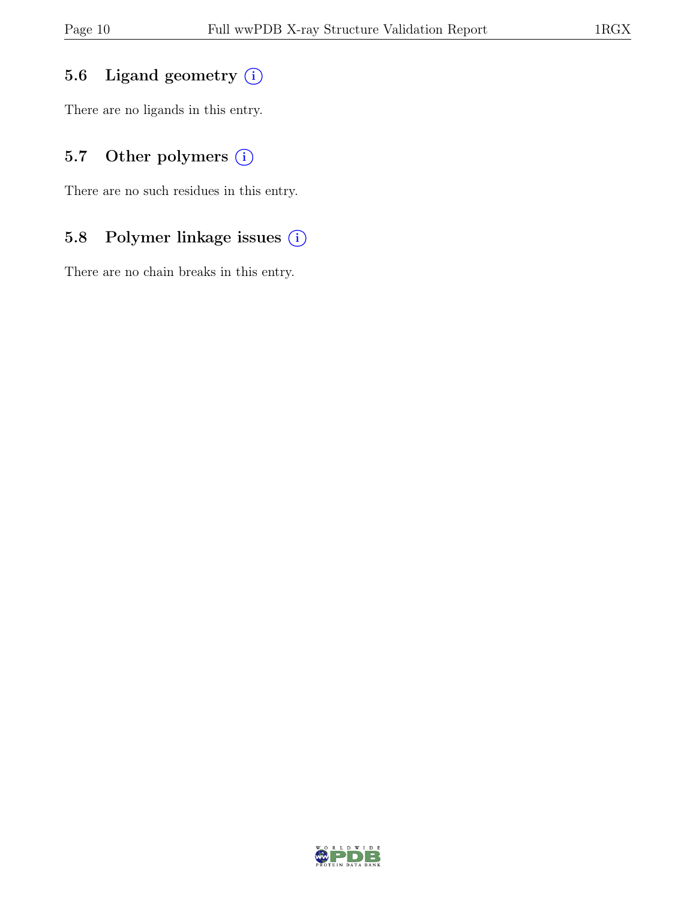### 5.6 Ligand geometry  $(i)$

There are no ligands in this entry.

### 5.7 Other polymers (i)

There are no such residues in this entry.

### 5.8 Polymer linkage issues (i)

There are no chain breaks in this entry.

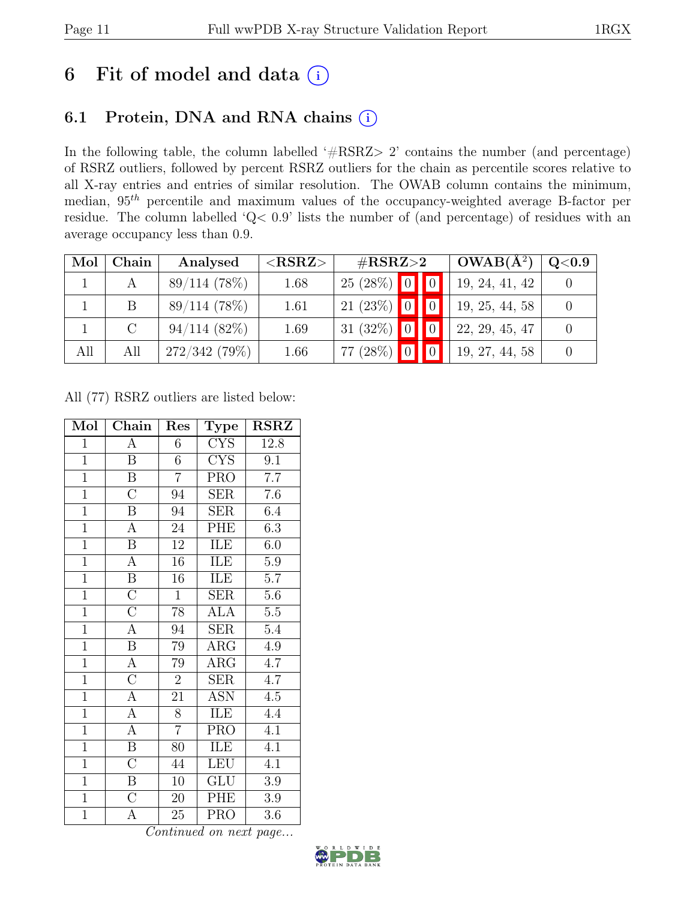## 6 Fit of model and data  $(i)$

### 6.1 Protein, DNA and RNA chains  $(i)$

In the following table, the column labelled ' $\#\text{RSRZ}>2$ ' contains the number (and percentage) of RSRZ outliers, followed by percent RSRZ outliers for the chain as percentile scores relative to all X-ray entries and entries of similar resolution. The OWAB column contains the minimum, median,  $95<sup>th</sup>$  percentile and maximum values of the occupancy-weighted average B-factor per residue. The column labelled 'Q< 0.9' lists the number of (and percentage) of residues with an average occupancy less than 0.9.

| Mol | Chain         | Analysed       | ${ <\hspace{-1.5pt}{\mathrm{RSRZ}} \hspace{-1.5pt}>}$ | $\#\text{RSRZ}\text{>2}$ |                | $OWAB(A^2)$    | $\rm Q\textcolor{black}{<}0.9$ |
|-----|---------------|----------------|-------------------------------------------------------|--------------------------|----------------|----------------|--------------------------------|
|     |               | 89/114 (78%)   | 1.68                                                  | $25(28%)$ 0              |                | 19, 24, 41, 42 |                                |
|     | <sub>B</sub>  | 89/114(78%)    | 1.61                                                  | $21(23%)$ 0              |                | 19, 25, 44, 58 |                                |
|     | $\mathcal{C}$ | $94/114(82\%)$ | 1.69                                                  | 31 (32%) $\boxed{0}$     |                | 22, 29, 45, 47 |                                |
| All | All           | 272/342(79%)   | 1.66                                                  | 77 (28%)                 | $\blacksquare$ | 19, 27, 44, 58 |                                |

All (77) RSRZ outliers are listed below:

| Mol            | Chain                   | Res             | <b>Type</b>               | <b>RSRZ</b>      |
|----------------|-------------------------|-----------------|---------------------------|------------------|
| $\mathbf{1}$   | А                       | 6               | <b>CYS</b>                | 12.8             |
| $\overline{1}$ | $\overline{B}$          | 6               | <b>CYS</b>                | $\overline{9.1}$ |
| $\overline{1}$ | $\overline{\mathbf{B}}$ | $\overline{7}$  | PRO                       | $\overline{7.7}$ |
| $\overline{1}$ | $\overline{\rm C}$      | $\overline{94}$ | $\overline{\text{SER}}$   | $\overline{7.6}$ |
| $\overline{1}$ | $\boldsymbol{B}$        | 94              | <b>SER</b>                | 6.4              |
| $\overline{1}$ | $\overline{A}$          | $\overline{24}$ | PHE                       | 6.3              |
| $\overline{1}$ | $\overline{\mathbf{B}}$ | $\overline{12}$ | ILE                       | 6.0              |
| $\overline{1}$ | $\overline{A}$          | $\overline{16}$ | ILE                       | $\overline{5.9}$ |
| $\overline{1}$ | $\overline{B}$          | $\overline{16}$ | ILE                       | $\overline{5.7}$ |
| $\overline{1}$ | $\overline{C}$          | $\mathbf{1}$    | <b>SER</b>                | $5.6\,$          |
| $\overline{1}$ | $\overline{C}$          | $\overline{78}$ | <b>ALA</b>                | $\overline{5.5}$ |
| $\overline{1}$ | $\overline{\rm A}$      | 94              | <b>SER</b>                | $5.4\,$          |
| $\overline{1}$ | $\overline{\mathbf{B}}$ | 79              | $\overline{\rm{ARG}}$     | $\overline{4.9}$ |
| $\overline{1}$ | $\overline{A}$          | 79              | $\rm{ARG}$                | 4.7              |
| $\overline{1}$ | $\overline{\rm C}$      | $\overline{2}$  | SER                       | $\overline{4.7}$ |
| $\overline{1}$ | $\overline{\rm A}$      | 21              | $\overline{\mathrm{ASN}}$ | $\overline{4.5}$ |
| $\overline{1}$ | $\overline{A}$          | 8               | ILE                       | 4.4              |
| $\overline{1}$ | $\overline{A}$          | $\overline{7}$  | $\overline{\text{PRO}}$   | $\overline{4.1}$ |
| $\overline{1}$ | $\overline{\mathbf{B}}$ | 80              | ILE                       | 4.1              |
| $\overline{1}$ | $\overline{C}$          | 44              | <b>LEU</b>                | 4.1              |
| $\overline{1}$ | $\overline{B}$          | 10              | GLU                       | 3.9              |
| $\overline{1}$ | $\overline{\mathrm{C}}$ | 20              | PHE                       | 3.9              |
| $\overline{1}$ | $\overline{\rm A}$      | 25              | <b>PRO</b>                | 3.6              |

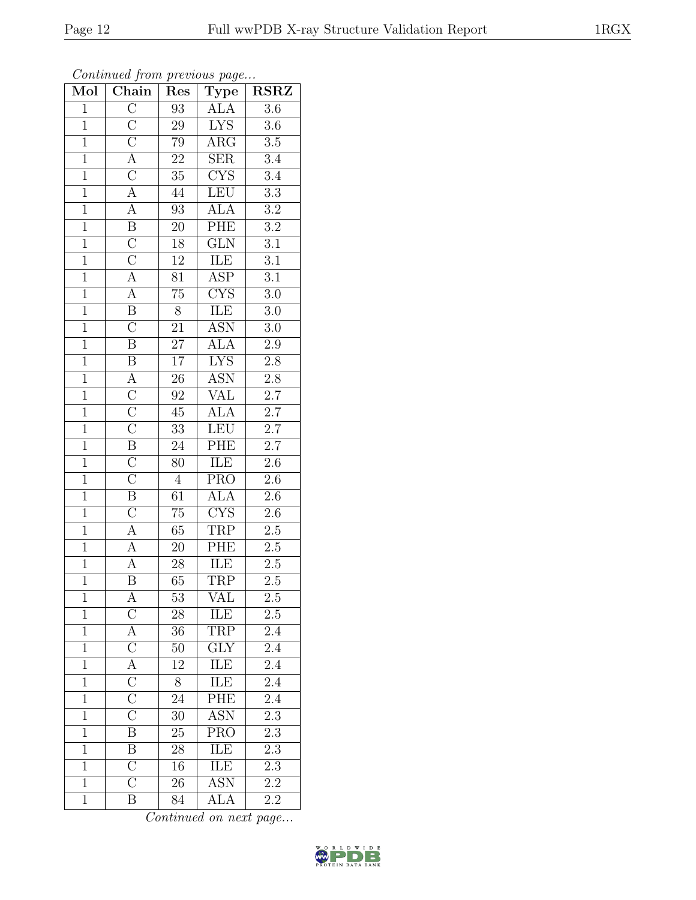| Mol            | $\overline{\text{Chain}}$                                                                                   | Res              | Type                    | <b>RSRZ</b>      |
|----------------|-------------------------------------------------------------------------------------------------------------|------------------|-------------------------|------------------|
| $\mathbf{1}$   | $\overline{C}$                                                                                              | 93               | ALA                     | 3.6              |
| $\overline{1}$ | $\overline{\rm C}$                                                                                          | 29               | <b>LYS</b>              | $3.6\,$          |
| $\overline{1}$ |                                                                                                             | $\overline{79}$  | $\overline{\rm{ARG}}$   | $\overline{3.5}$ |
| $\overline{1}$ |                                                                                                             | $\overline{22}$  | $\overline{\text{SER}}$ | $\overline{3.4}$ |
| $\overline{1}$ |                                                                                                             | $\overline{35}$  | $\overline{\text{CYS}}$ | $\overline{3.4}$ |
| $\overline{1}$ | $\frac{\overline{C}}{\overline{A}}$ $\frac{\overline{C}}{\overline{A}}$                                     | $\hphantom{1}44$ | LEU                     | $\overline{3.3}$ |
| $\overline{1}$ | $\overline{A}$                                                                                              | $\overline{93}$  | <b>ALA</b>              | $\overline{3.2}$ |
| $\overline{1}$ | $\overline{B}$                                                                                              | $\overline{20}$  | PHE                     | $\overline{3.2}$ |
| $\overline{1}$ |                                                                                                             | $18\,$           | $\overline{\text{GLN}}$ | $\overline{3.1}$ |
| $\overline{1}$ |                                                                                                             | $\overline{12}$  | ILE                     | $\overline{3.1}$ |
| $\mathbf{1}$   |                                                                                                             | 81               | $\overline{\text{ASP}}$ | $3.\overline{1}$ |
| $\overline{1}$ |                                                                                                             | $\overline{75}$  | $\overline{\text{CYS}}$ | $\overline{3.0}$ |
| $\overline{1}$ | $\frac{\overline{C}}{\overline{C}}$ $\frac{\overline{C}}{\overline{A}}$ $\frac{\overline{A}}{\overline{B}}$ | $\overline{8}$   | $\overline{\text{ILE}}$ | $3.0\,$          |
| $\overline{1}$ | $\overline{C}$                                                                                              | $\overline{21}$  | <b>ASN</b>              | $3.0\,$          |
| $\overline{1}$ | $\overline{\mathbf{B}}$                                                                                     | $\overline{27}$  | <b>ALA</b>              | $\overline{2.9}$ |
| $\overline{1}$ | $\overline{B}$                                                                                              | $\overline{17}$  | $\overline{\text{LYS}}$ | $2.\overline{8}$ |
| $\overline{1}$ | $\frac{\overline{A}}{\overline{C}}$                                                                         | $\overline{26}$  | <b>ASN</b>              | $\overline{2.8}$ |
| $\overline{1}$ |                                                                                                             | 92               | <b>VAL</b>              | $\overline{2.7}$ |
| $\overline{1}$ | $\overline{\rm C}$                                                                                          | $\overline{45}$  | $\overline{\text{ALA}}$ | $\overline{2.7}$ |
| $\overline{1}$ | $\overline{\rm C}$                                                                                          | $\overline{33}$  | LEU                     | $\overline{2.7}$ |
| $\overline{1}$ | $\overline{\mathbf{B}}$                                                                                     | $\overline{24}$  | PHE                     | $\overline{2.7}$ |
| $\overline{1}$ | $\overline{C}$                                                                                              | 80               | ILE                     | $\overline{2.6}$ |
| $\overline{1}$ | $\overline{\rm C}$                                                                                          | $\overline{4}$   | PRO                     | $\overline{2.6}$ |
| $\overline{1}$ | $\overline{\mathbf{B}}$                                                                                     | $\overline{61}$  | $\overline{\text{ALA}}$ | $\overline{2.6}$ |
| $\overline{1}$ | $\overline{\rm C}$                                                                                          | $\overline{75}$  | CYS                     | $2.6\,$          |
| $\mathbf{1}$   | $\overline{\mathbf{A}}$                                                                                     | $65\,$           | <b>TRP</b>              | $2.5\,$          |
| $\overline{1}$ | $\overline{A}$                                                                                              | 20               | PHE                     | $\overline{2.5}$ |
| $\overline{1}$ | $\overline{A}$                                                                                              | $\overline{28}$  | $\rm ILE$               | $2.\overline{5}$ |
| $\overline{1}$ | $\overline{\mathrm{B}}$                                                                                     | $\overline{65}$  | <b>TRP</b>              | $\overline{2.5}$ |
| $\mathbf{1}$   | $\mathbf{A}$                                                                                                | 53               | VAL                     | 2.5              |
| $\mathbf{1}$   | $\overline{C}$                                                                                              | $28\,$           | ILE                     | $2.5\,$          |
| $\mathbf{1}$   | $\frac{\overline{\text{A}}}{\text{C}}$ $\frac{\overline{\text{C}}}{\text{C}}$                               | 36               | TRP                     | 2.4              |
| $\mathbf{1}$   |                                                                                                             | 50               | $\overline{GLY}$        | $2.\bar{4}$      |
| $\overline{1}$ |                                                                                                             | $\overline{12}$  | ILE                     | $\overline{2.4}$ |
| $\mathbf{1}$   |                                                                                                             | 8                | ILE                     | 2.4              |
| $\overline{1}$ |                                                                                                             | $\overline{24}$  | PHE                     | $\overline{2.4}$ |
| $\mathbf{1}$   | $\overline{\rm C}$                                                                                          | 30               | <b>ASN</b>              | 2.3              |
| $\overline{1}$ | $\overline{\mathrm{B}}$                                                                                     | 25               | $\overline{\text{PRO}}$ | $\overline{2.3}$ |
| $\mathbf{1}$   | $\boldsymbol{B}$                                                                                            | 28               | ILE                     | $2.\overline{3}$ |
| $\overline{1}$ | $\overline{\rm C}$                                                                                          | 16               | ILE                     | $\overline{2.3}$ |
| $\mathbf{1}$   | $\overline{\rm C}$                                                                                          | $\overline{2}6$  | $\overline{\text{ASN}}$ | 2.2              |
| $\overline{1}$ | $\overline{B}$                                                                                              | 84               | ALA                     | 2.2              |